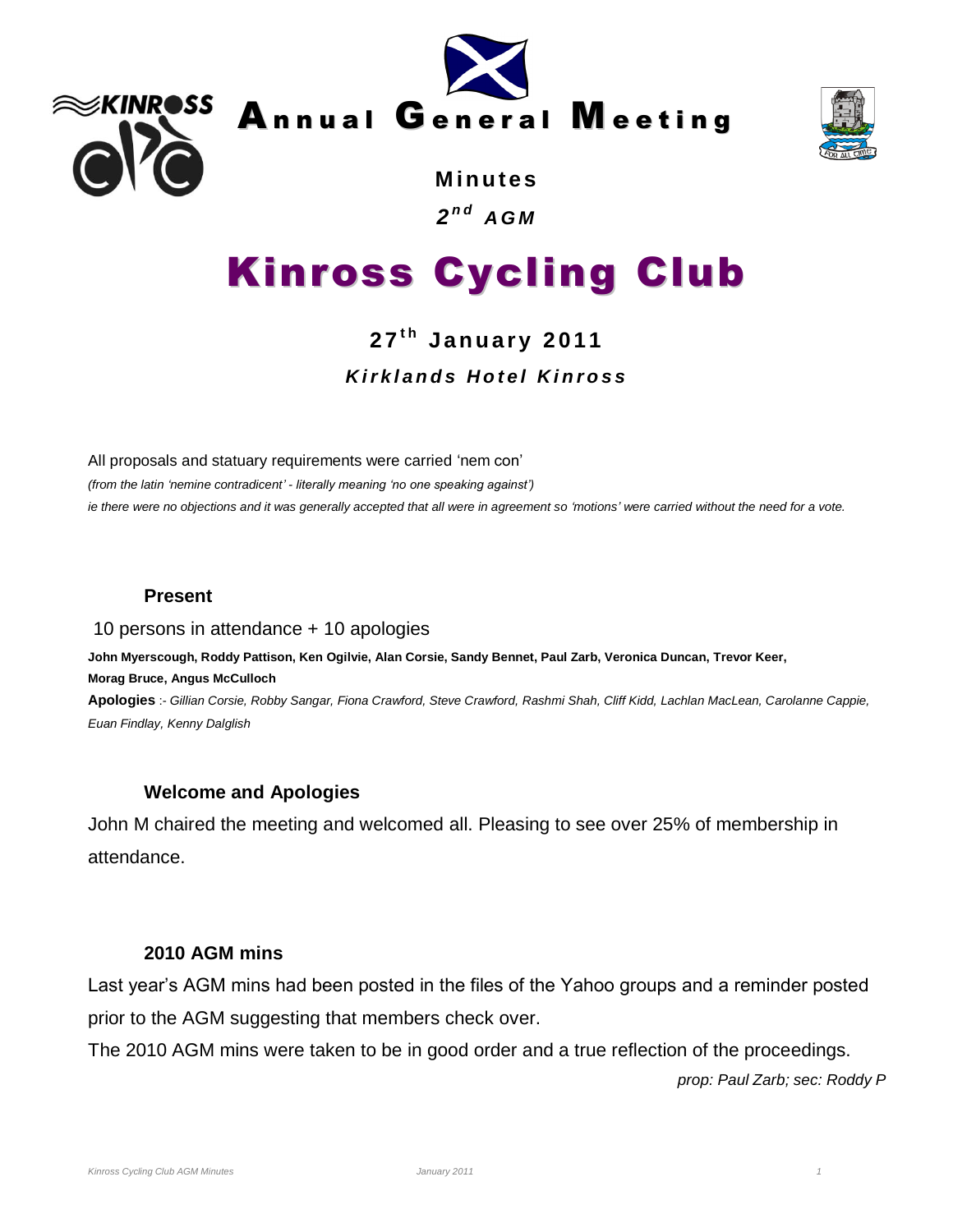





**M in u te s** *2 n d A G M*

# Kinross Cycling Club

# **2 7 t h J a n u a r y 2011** *K i r k l a n d s H o t e l K i n r o s s*

All proposals and statuary requirements were carried 'nem con'

*(from the latin 'nemine contradicent' - literally meaning 'no one speaking against') ie there were no objections and it was generally accepted that all were in agreement so 'motions' were carried without the need for a vote.* 

# **Present**

#### 10 persons in attendance + 10 apologies

**John Myerscough, Roddy Pattison, Ken Ogilvie, Alan Corsie, Sandy Bennet, Paul Zarb, Veronica Duncan, Trevor Keer, Morag Bruce, Angus McCulloch**

**Apologies** :- *Gillian Corsie, Robby Sangar, Fiona Crawford, Steve Crawford, Rashmi Shah, Cliff Kidd, Lachlan MacLean, Carolanne Cappie, Euan Findlay, Kenny Dalglish*

# **Welcome and Apologies**

John M chaired the meeting and welcomed all. Pleasing to see over 25% of membership in attendance.

# **2010 AGM mins**

Last year's AGM mins had been posted in the files of the Yahoo groups and a reminder posted prior to the AGM suggesting that members check over.

The 2010 AGM mins were taken to be in good order and a true reflection of the proceedings.

*prop: Paul Zarb; sec: Roddy P*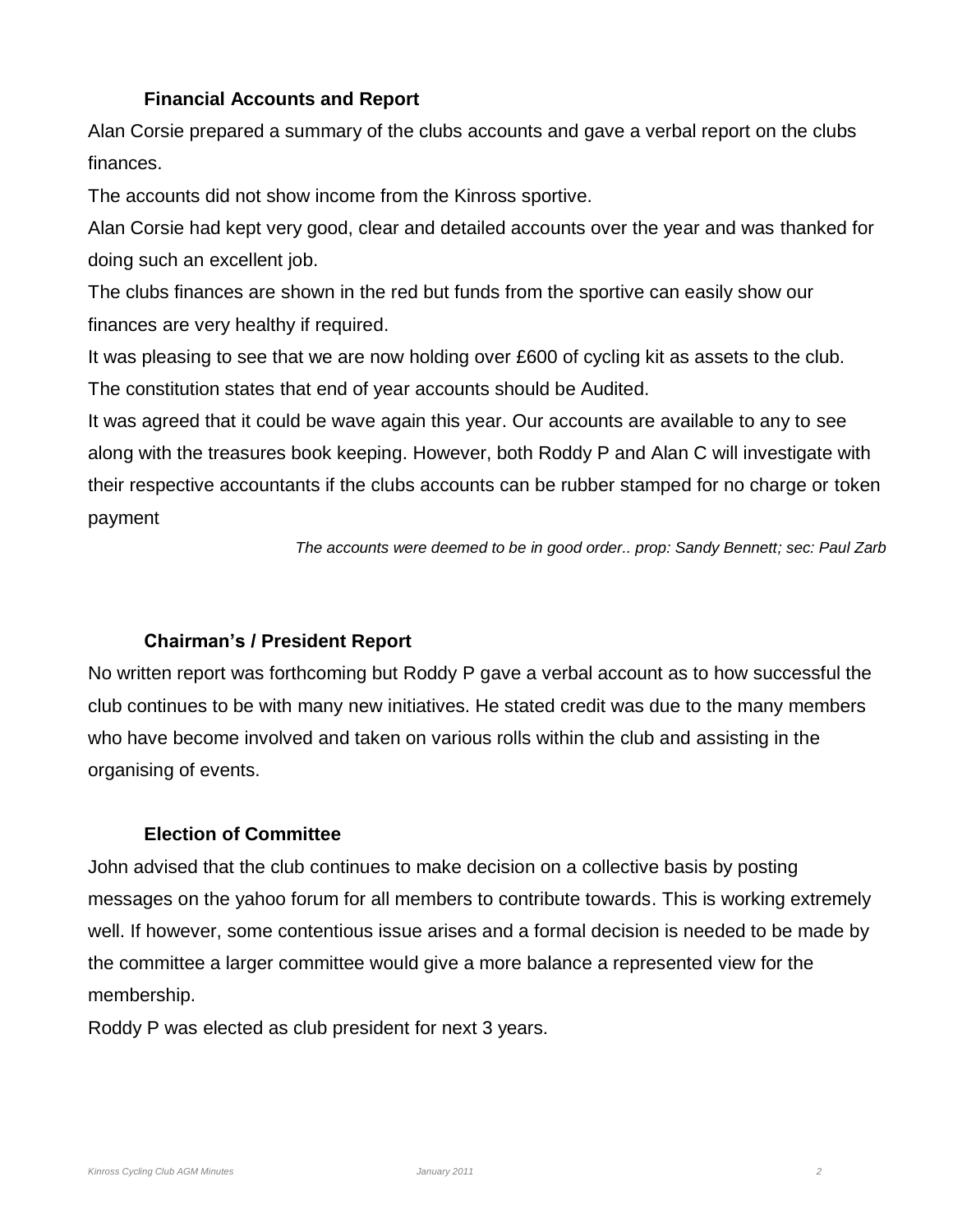# **Financial Accounts and Report**

Alan Corsie prepared a summary of the clubs accounts and gave a verbal report on the clubs finances.

The accounts did not show income from the Kinross sportive.

Alan Corsie had kept very good, clear and detailed accounts over the year and was thanked for doing such an excellent job.

The clubs finances are shown in the red but funds from the sportive can easily show our finances are very healthy if required.

It was pleasing to see that we are now holding over £600 of cycling kit as assets to the club. The constitution states that end of year accounts should be Audited.

It was agreed that it could be wave again this year. Our accounts are available to any to see along with the treasures book keeping. However, both Roddy P and Alan C will investigate with their respective accountants if the clubs accounts can be rubber stamped for no charge or token payment

*The accounts were deemed to be in good order.. prop: Sandy Bennett; sec: Paul Zarb*

#### **Chairman's / President Report**

No written report was forthcoming but Roddy P gave a verbal account as to how successful the club continues to be with many new initiatives. He stated credit was due to the many members who have become involved and taken on various rolls within the club and assisting in the organising of events.

#### **Election of Committee**

John advised that the club continues to make decision on a collective basis by posting messages on the yahoo forum for all members to contribute towards. This is working extremely well. If however, some contentious issue arises and a formal decision is needed to be made by the committee a larger committee would give a more balance a represented view for the membership.

Roddy P was elected as club president for next 3 years.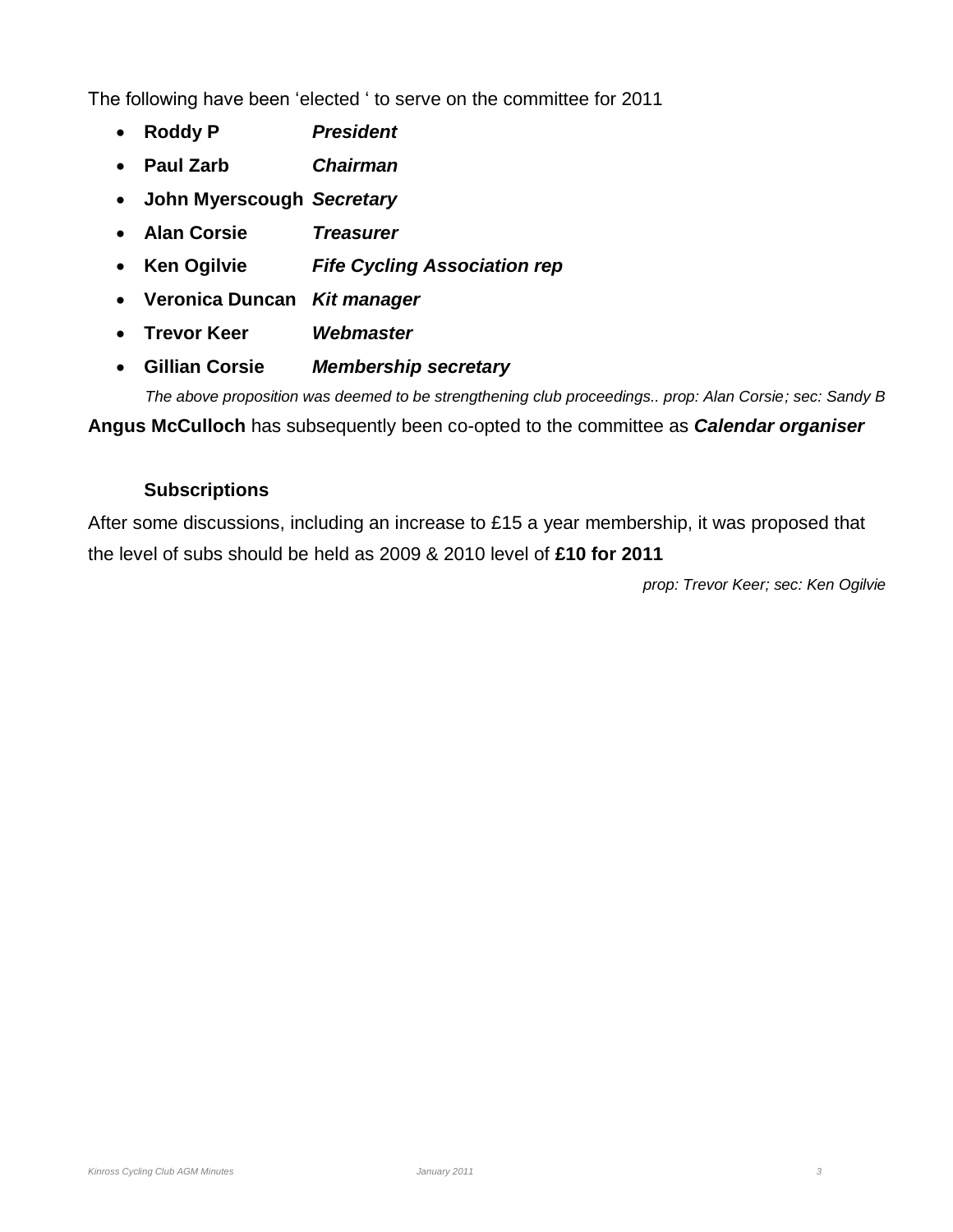The following have been 'elected ' to serve on the committee for 2011

- **Roddy P** *President*
- **Paul Zarb** *Chairman*
- **John Myerscough** *Secretary*
- **Alan Corsie** *Treasurer*
- **Ken Ogilvie** *Fife Cycling Association rep*
- **Veronica Duncan** *Kit manager*
- **Trevor Keer** *Webmaster*
- **Gillian Corsie** *Membership secretary*

*The above proposition was deemed to be strengthening club proceedings.. prop: Alan Corsie; sec: Sandy B* **Angus McCulloch** has subsequently been co-opted to the committee as *Calendar organiser*

# **Subscriptions**

After some discussions, including an increase to £15 a year membership, it was proposed that the level of subs should be held as 2009 & 2010 level of **£10 for 2011**

*prop: Trevor Keer; sec: Ken Ogilvie*